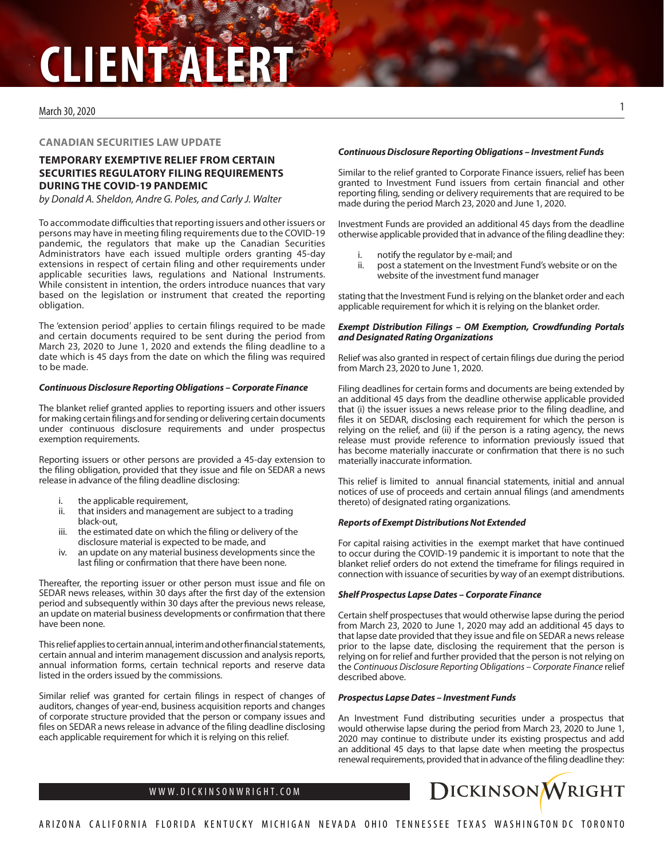# **CLIENT ALERT**

### March 30, 2020

## **CANADIAN SECURITIES LAW UPDATE**

# **TEMPORARY EXEMPTIVE RELIEF FROM CERTAIN SECURITIES REGULATORY FILING REQUIREMENTS DURING THE COVID-19 PANDEMIC**

*by Donald A. Sheldon, Andre G. Poles, and Carly J. Walter*

To accommodate difficulties that reporting issuers and other issuers or persons may have in meeting filing requirements due to the COVID-19 pandemic, the regulators that make up the Canadian Securities Administrators have each issued multiple orders granting 45-day extensions in respect of certain filing and other requirements under applicable securities laws, regulations and National Instruments. While consistent in intention, the orders introduce nuances that vary based on the legislation or instrument that created the reporting obligation.

The 'extension period' applies to certain filings required to be made and certain documents required to be sent during the period from March 23, 2020 to June 1, 2020 and extends the filing deadline to a date which is 45 days from the date on which the filing was required to be made.

#### *Continuous Disclosure Reporting Obligations – Corporate Finance*

The blanket relief granted applies to reporting issuers and other issuers for making certain filings and for sending or delivering certain documents under continuous disclosure requirements and under prospectus exemption requirements.

Reporting issuers or other persons are provided a 45-day extension to the filing obligation, provided that they issue and file on SEDAR a news release in advance of the filing deadline disclosing:

- the applicable requirement,
- ii. that insiders and management are subject to a trading black-out,
- iii. the estimated date on which the filing or delivery of the disclosure material is expected to be made, and
- iv. an update on any material business developments since the last filing or confirmation that there have been none.

Thereafter, the reporting issuer or other person must issue and file on SEDAR news releases, within 30 days after the first day of the extension period and subsequently within 30 days after the previous news release, an update on material business developments or confirmation that there have been none.

This relief applies to certain annual, interim and other financial statements, certain annual and interim management discussion and analysis reports, annual information forms, certain technical reports and reserve data listed in the orders issued by the commissions.

Similar relief was granted for certain filings in respect of changes of auditors, changes of year-end, business acquisition reports and changes of corporate structure provided that the person or company issues and files on SEDAR a news release in advance of the filing deadline disclosing each applicable requirement for which it is relying on this relief.

### *Continuous Disclosure Reporting Obligations – Investment Funds*

Similar to the relief granted to Corporate Finance issuers, relief has been granted to Investment Fund issuers from certain financial and other reporting filing, sending or delivery requirements that are required to be made during the period March 23, 2020 and June 1, 2020.

Investment Funds are provided an additional 45 days from the deadline otherwise applicable provided that in advance of the filing deadline they:

- i. notify the regulator by e-mail; and
- ii. post a statement on the Investment Fund's website or on the website of the investment fund manager

stating that the Investment Fund is relying on the blanket order and each applicable requirement for which it is relying on the blanket order.

#### *Exempt Distribution Filings – OM Exemption, Crowdfunding Portals and Designated Rating Organizations*

Relief was also granted in respect of certain filings due during the period from March 23, 2020 to June 1, 2020.

Filing deadlines for certain forms and documents are being extended by an additional 45 days from the deadline otherwise applicable provided that (i) the issuer issues a news release prior to the filing deadline, and files it on SEDAR, disclosing each requirement for which the person is relying on the relief, and (ii) if the person is a rating agency, the news release must provide reference to information previously issued that has become materially inaccurate or confirmation that there is no such materially inaccurate information.

This relief is limited to annual financial statements, initial and annual notices of use of proceeds and certain annual filings (and amendments thereto) of designated rating organizations.

### *Reports of Exempt Distributions Not Extended*

For capital raising activities in the exempt market that have continued to occur during the COVID-19 pandemic it is important to note that the blanket relief orders do not extend the timeframe for filings required in connection with issuance of securities by way of an exempt distributions.

### *Shelf Prospectus Lapse Dates – Corporate Finance*

Certain shelf prospectuses that would otherwise lapse during the period from March 23, 2020 to June 1, 2020 may add an additional 45 days to that lapse date provided that they issue and file on SEDAR a news release prior to the lapse date, disclosing the requirement that the person is relying on for relief and further provided that the person is not relying on the *Continuous Disclosure Reporting Obligations – Corporate Finance* relief described above.

### *Prospectus Lapse Dates – Investment Funds*

An Investment Fund distributing securities under a prospectus that would otherwise lapse during the period from March 23, 2020 to June 1, 2020 may continue to distribute under its existing prospectus and add an additional 45 days to that lapse date when meeting the prospectus renewal requirements, provided that in advance of the filing deadline they:

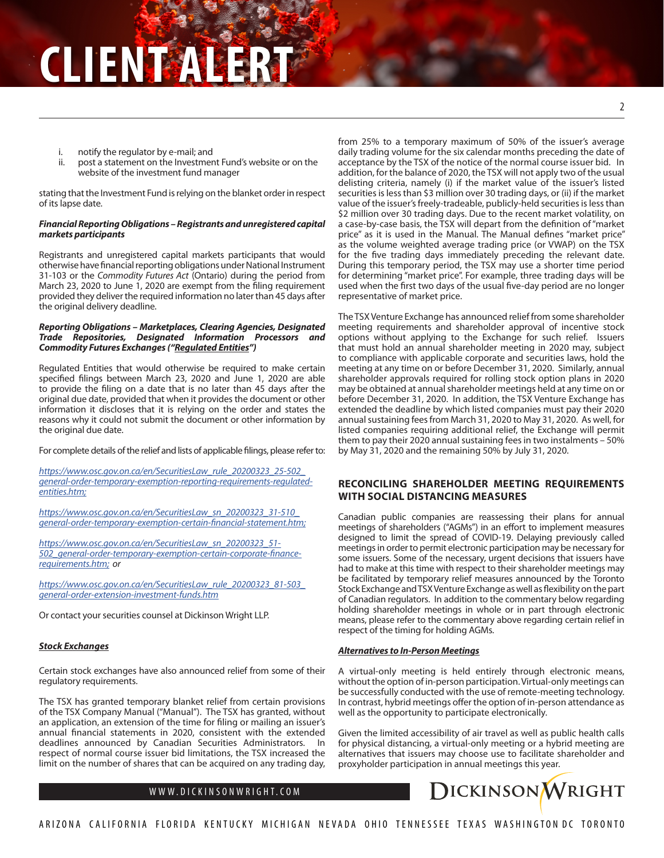- i. notify the regulator by e-mail; and
- ii. post a statement on the Investment Fund's website or on the website of the investment fund manager

stating that the Investment Fund is relying on the blanket order in respect of its lapse date.

# *Financial Reporting Obligations – Registrants and unregistered capital markets participants*

Registrants and unregistered capital markets participants that would otherwise have financial reporting obligations under National Instrument 31-103 or the *Commodity Futures Act* (Ontario) during the period from March 23, 2020 to June 1, 2020 are exempt from the filing requirement provided they deliver the required information no later than 45 days after the original delivery deadline.

# *Reporting Obligations – Marketplaces, Clearing Agencies, Designated Trade Repositories, Designated Information Processors and Commodity Futures Exchanges ("Regulated Entities")*

Regulated Entities that would otherwise be required to make certain specified filings between March 23, 2020 and June 1, 2020 are able to provide the filing on a date that is no later than 45 days after the original due date, provided that when it provides the document or other information it discloses that it is relying on the order and states the reasons why it could not submit the document or other information by the original due date.

For complete details of the relief and lists of applicable filings, please refer to:

*https://www.osc.gov.on.ca/en/SecuritiesLaw\_rule\_20200323\_25-502\_ general-order-temporary-exemption-reporting-requirements-regulatedentities.htm;*

*https://www.osc.gov.on.ca/en/SecuritiesLaw\_sn\_20200323\_31-510\_ general-order-temporary-exemption-certain-financial-statement.htm;*

*https://www.osc.gov.on.ca/en/SecuritiesLaw\_sn\_20200323\_51- 502\_general-order-temporary-exemption-certain-corporate-financerequirements.htm; or*

*https://www.osc.gov.on.ca/en/SecuritiesLaw\_rule\_20200323\_81-503\_ general-order-extension-investment-funds.htm*

Or contact your securities counsel at Dickinson Wright LLP.

# *Stock Exchanges*

Certain stock exchanges have also announced relief from some of their regulatory requirements.

The TSX has granted temporary blanket relief from certain provisions of the TSX Company Manual ("Manual"). The TSX has granted, without an application, an extension of the time for filing or mailing an issuer's annual financial statements in 2020, consistent with the extended deadlines announced by Canadian Securities Administrators. In respect of normal course issuer bid limitations, the TSX increased the limit on the number of shares that can be acquired on any trading day,

from 25% to a temporary maximum of 50% of the issuer's average daily trading volume for the six calendar months preceding the date of acceptance by the TSX of the notice of the normal course issuer bid. In addition, for the balance of 2020, the TSX will not apply two of the usual delisting criteria, namely (i) if the market value of the issuer's listed securities is less than \$3 million over 30 trading days, or (ii) if the market value of the issuer's freely-tradeable, publicly-held securities is less than \$2 million over 30 trading days. Due to the recent market volatility, on a case-by-case basis, the TSX will depart from the definition of "market price" as it is used in the Manual. The Manual defines "market price" as the volume weighted average trading price (or VWAP) on the TSX for the five trading days immediately preceding the relevant date. During this temporary period, the TSX may use a shorter time period for determining "market price". For example, three trading days will be used when the first two days of the usual five-day period are no longer representative of market price.

The TSX Venture Exchange has announced relief from some shareholder meeting requirements and shareholder approval of incentive stock options without applying to the Exchange for such relief. Issuers that must hold an annual shareholder meeting in 2020 may, subject to compliance with applicable corporate and securities laws, hold the meeting at any time on or before December 31, 2020. Similarly, annual shareholder approvals required for rolling stock option plans in 2020 may be obtained at annual shareholder meetings held at any time on or before December 31, 2020. In addition, the TSX Venture Exchange has extended the deadline by which listed companies must pay their 2020 annual sustaining fees from March 31, 2020 to May 31, 2020. As well, for listed companies requiring additional relief, the Exchange will permit them to pay their 2020 annual sustaining fees in two instalments – 50% by May 31, 2020 and the remaining 50% by July 31, 2020.

# **RECONCILING SHAREHOLDER MEETING REQUIREMENTS WITH SOCIAL DISTANCING MEASURES**

Canadian public companies are reassessing their plans for annual meetings of shareholders ("AGMs") in an effort to implement measures designed to limit the spread of COVID-19. Delaying previously called meetings in order to permit electronic participation may be necessary for some issuers. Some of the necessary, urgent decisions that issuers have had to make at this time with respect to their shareholder meetings may be facilitated by temporary relief measures announced by the Toronto Stock Exchange and TSX Venture Exchange as well as flexibility on the part of Canadian regulators. In addition to the commentary below regarding holding shareholder meetings in whole or in part through electronic means, please refer to the commentary above regarding certain relief in respect of the timing for holding AGMs.

# *Alternatives to In-Person Meetings*

A virtual-only meeting is held entirely through electronic means, without the option of in-person participation. Virtual-only meetings can be successfully conducted with the use of remote-meeting technology. In contrast, hybrid meetings offer the option of in-person attendance as well as the opportunity to participate electronically.

Given the limited accessibility of air travel as well as public health calls for physical distancing, a virtual-only meeting or a hybrid meeting are alternatives that issuers may choose use to facilitate shareholder and proxyholder participation in annual meetings this year.